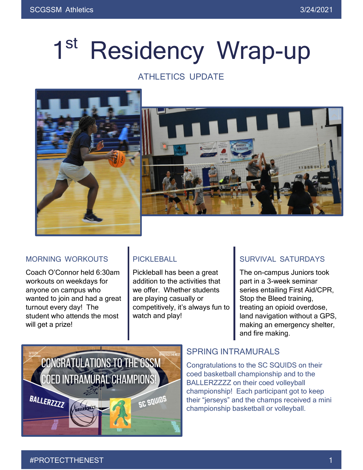# 1<sup>st</sup> Residency Wrap-up

### ATHLETICS UPDATE



#### MORNING WORKOUTS

Coach O'Connor held 6:30am workouts on weekdays for anyone on campus who wanted to join and had a great turnout every day! The student who attends the most will get a prize!

### PICKLEBALL

Pickleball has been a great addition to the activities that we offer. Whether students are playing casually or competitively, it's always fun to watch and play!

### SURVIVAL SATURDAYS

The on-campus Juniors took part in a 3-week seminar series entailing First Aid/CPR, Stop the Bleed training, treating an opioid overdose, land navigation without a GPS, making an emergency shelter, and fire making.



#### SPRING INTRAMURALS

Congratulations to the SC SQUIDS on their coed basketball championship and to the BALLERZZZZ on their coed volleyball championship! Each participant got to keep their "jerseys" and the champs received a mini championship basketball or volleyball.